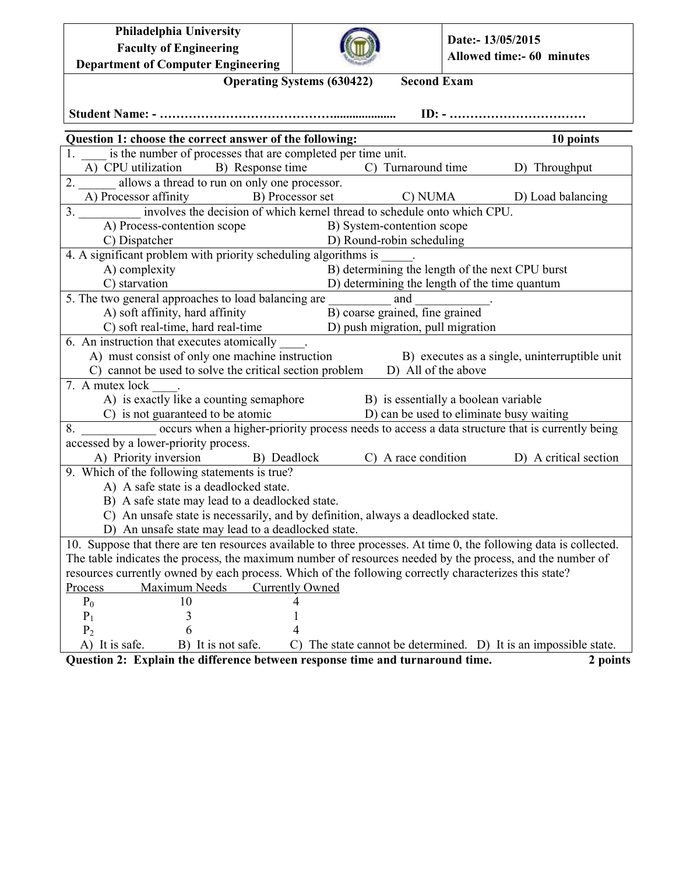| Philadelphia University                                                                                                         |                                                         | Date:- 13/05/2015                                                |  |  |
|---------------------------------------------------------------------------------------------------------------------------------|---------------------------------------------------------|------------------------------------------------------------------|--|--|
| <b>Faculty of Engineering</b>                                                                                                   |                                                         | Allowed time:- 60 minutes                                        |  |  |
| <b>Department of Computer Engineering</b>                                                                                       |                                                         |                                                                  |  |  |
|                                                                                                                                 | <b>Second Exam</b><br><b>Operating Systems (630422)</b> |                                                                  |  |  |
|                                                                                                                                 |                                                         |                                                                  |  |  |
|                                                                                                                                 |                                                         |                                                                  |  |  |
| Question 1: choose the correct answer of the following:                                                                         |                                                         | 10 points                                                        |  |  |
| is the number of processes that are completed per time unit.                                                                    |                                                         |                                                                  |  |  |
| A) CPU utilization B) Response time                                                                                             | C) Turnaround time                                      | D) Throughput                                                    |  |  |
| 2. allows a thread to run on only one processor.                                                                                |                                                         |                                                                  |  |  |
| A) Processor affinity B) Processor set                                                                                          |                                                         | C) NUMA D) Load balancing                                        |  |  |
| 3. _________ involves the decision of which kernel thread to schedule onto which CPU.                                           |                                                         |                                                                  |  |  |
| A) Process-contention scope<br>B) System-contention scope                                                                       |                                                         |                                                                  |  |  |
| C) Dispatcher                                                                                                                   | D) Round-robin scheduling                               |                                                                  |  |  |
| 4. A significant problem with priority scheduling algorithms is                                                                 |                                                         |                                                                  |  |  |
| B) determining the length of the next CPU burst<br>A) complexity                                                                |                                                         |                                                                  |  |  |
| C) starvation<br>D) determining the length of the time quantum<br>5. The two general approaches to load balancing are           |                                                         |                                                                  |  |  |
| A) soft affinity, hard affinity                                                                                                 | and<br>B) coarse grained, fine grained                  |                                                                  |  |  |
| C) soft real-time, hard real-time D) push migration, pull migration                                                             |                                                         |                                                                  |  |  |
| 6. An instruction that executes atomically                                                                                      |                                                         |                                                                  |  |  |
| A) must consist of only one machine instruction                                                                                 |                                                         |                                                                  |  |  |
| B) executes as a single, uninterruptible unit<br>C) cannot be used to solve the critical section problem D) All of the above    |                                                         |                                                                  |  |  |
| 7. A mutex lock .                                                                                                               |                                                         |                                                                  |  |  |
| A) is exactly like a counting semaphore B) is essentially a boolean variable                                                    |                                                         |                                                                  |  |  |
| C) is not guaranteed to be atomic                                                                                               |                                                         |                                                                  |  |  |
| guaranteed to be atomic<br>occurs when a higher-priority process needs to access a data structure that is currently being<br>8. |                                                         |                                                                  |  |  |
| accessed by a lower-priority process.                                                                                           |                                                         |                                                                  |  |  |
| A) Priority inversion B) Deadlock                                                                                               |                                                         | C) A race condition D) A critical section                        |  |  |
| 9. Which of the following statements is true?                                                                                   |                                                         |                                                                  |  |  |
| A) A safe state is a deadlocked state.                                                                                          |                                                         |                                                                  |  |  |
| B) A safe state may lead to a deadlocked state.                                                                                 |                                                         |                                                                  |  |  |
| C) An unsafe state is necessarily, and by definition, always a deadlocked state.                                                |                                                         |                                                                  |  |  |
| D) An unsafe state may lead to a deadlocked state.                                                                              |                                                         |                                                                  |  |  |
| 10. Suppose that there are ten resources available to three processes. At time 0, the following data is collected.              |                                                         |                                                                  |  |  |
| The table indicates the process, the maximum number of resources needed by the process, and the number of                       |                                                         |                                                                  |  |  |
| resources currently owned by each process. Which of the following correctly characterizes this state?                           |                                                         |                                                                  |  |  |
| Process<br>Maximum Needs<br><b>Currently Owned</b>                                                                              |                                                         |                                                                  |  |  |
| $P_0$<br>10                                                                                                                     |                                                         |                                                                  |  |  |
| $P_1$<br>3                                                                                                                      |                                                         |                                                                  |  |  |
| P <sub>2</sub><br>6                                                                                                             |                                                         |                                                                  |  |  |
| A) It is safe.<br>B) It is not safe.                                                                                            |                                                         | C) The state cannot be determined. D) It is an impossible state. |  |  |

**Question 2: Explain the difference between response time and turnaround time.** 2 points